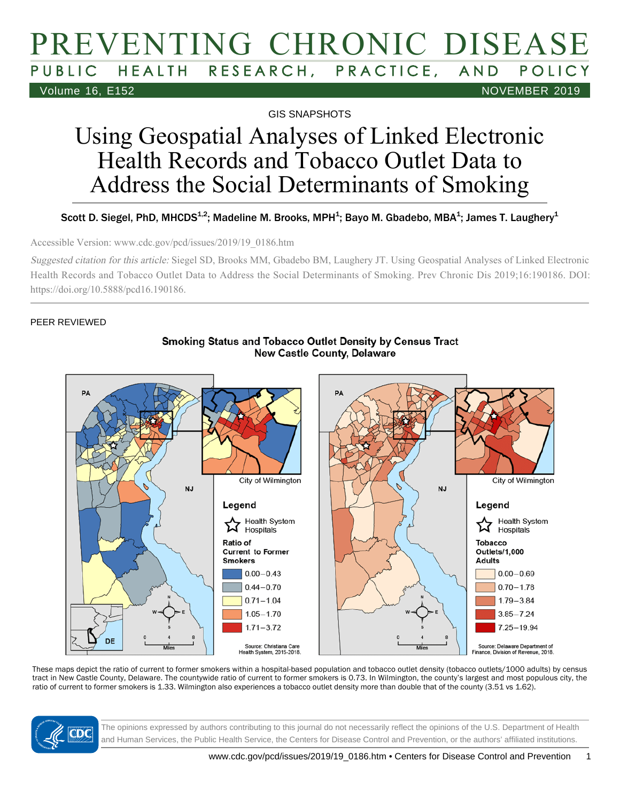# PREVENTING CHRONIC DISEASE HEALTH RESEARCH, PRACTICE, AND POLICY Volume 16, E152 November 2019 and the state of the state of the state of the NOVEMBER 2019

GIS SNAPSHOTS

# Using Geospatial Analyses of Linked Electronic Health Records and Tobacco Outlet Data to Address the Social Determinants of Smoking

#### Scott D. Siegel, PhD, MHCDS $^{1,2}$ ; Madeline M. Brooks, MPH $^4$ ; Bayo M. Gbadebo, MBA $^4$ ; James T. Laughery $^4$

Accessible Version: www.cdc.gov/pcd/issues/2019/19\_0186.htm

Suggested citation for this article: Siegel SD, Brooks MM, Gbadebo BM, Laughery JT. Using Geospatial Analyses of Linked Electronic Health Records and Tobacco Outlet Data to Address the Social Determinants of Smoking. Prev Chronic Dis 2019;16:190186. DOI: https://doi.org/10.5888/pcd16.190186.

#### PEER REVIEWED



Smoking Status and Tobacco Outlet Density by Census Tract **New Castle County, Delaware** 

These maps depict the ratio of current to former smokers within a hospital-based population and tobacco outlet density (tobacco outlets/1000 adults) by census tract in New Castle County, Delaware. The countywide ratio of current to former smokers is 0.73. In Wilmington, the county's largest and most populous city, the ratio of current to former smokers is 1.33. Wilmington also experiences a tobacco outlet density more than double that of the county (3.51 vs 1.62).



The opinions expressed by authors contributing to this journal do not necessarily reflect the opinions of the U.S. Department of Health and Human Services, the Public Health Service, the Centers for Disease Control and Prevention, or the authors' affiliated institutions.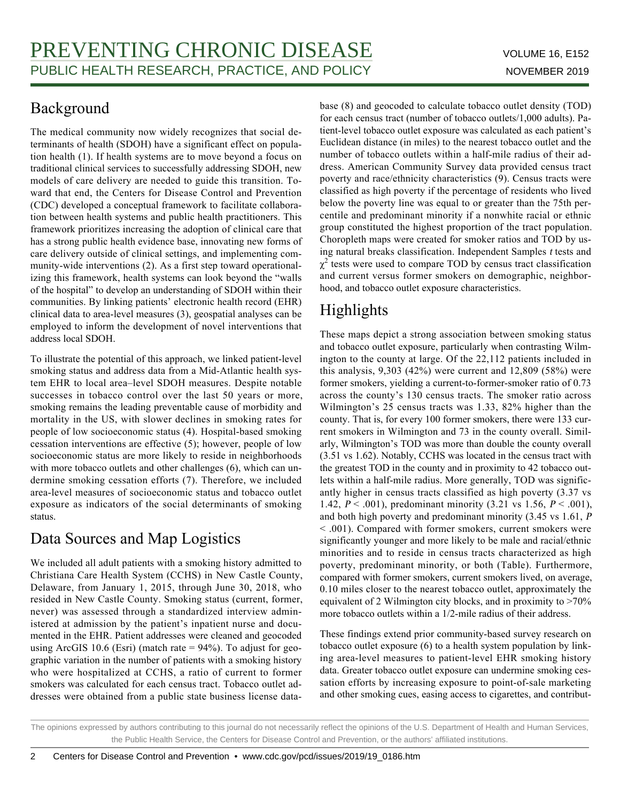## Background

The medical community now widely recognizes that social determinants of health (SDOH) have a significant effect on population health (1). If health systems are to move beyond a focus on traditional clinical services to successfully addressing SDOH, new models of care delivery are needed to guide this transition. Toward that end, the Centers for Disease Control and Prevention (CDC) developed a conceptual framework to facilitate collaboration between health systems and public health practitioners. This framework prioritizes increasing the adoption of clinical care that has a strong public health evidence base, innovating new forms of care delivery outside of clinical settings, and implementing community-wide interventions (2). As a first step toward operationalizing this framework, health systems can look beyond the "walls of the hospital" to develop an understanding of SDOH within their communities. By linking patients' electronic health record (EHR) clinical data to area-level measures (3), geospatial analyses can be employed to inform the development of novel interventions that address local SDOH.

To illustrate the potential of this approach, we linked patient-level smoking status and address data from a Mid-Atlantic health system EHR to local area–level SDOH measures. Despite notable successes in tobacco control over the last 50 years or more, smoking remains the leading preventable cause of morbidity and mortality in the US, with slower declines in smoking rates for people of low socioeconomic status (4). Hospital-based smoking cessation interventions are effective (5); however, people of low socioeconomic status are more likely to reside in neighborhoods with more tobacco outlets and other challenges (6), which can undermine smoking cessation efforts (7). Therefore, we included area-level measures of socioeconomic status and tobacco outlet exposure as indicators of the social determinants of smoking status.

# Data Sources and Map Logistics

We included all adult patients with a smoking history admitted to Christiana Care Health System (CCHS) in New Castle County, Delaware, from January 1, 2015, through June 30, 2018, who resided in New Castle County. Smoking status (current, former, never) was assessed through a standardized interview administered at admission by the patient's inpatient nurse and documented in the EHR. Patient addresses were cleaned and geocoded using ArcGIS 10.6 (Esri) (match rate = 94%). To adjust for geographic variation in the number of patients with a smoking history who were hospitalized at CCHS, a ratio of current to former smokers was calculated for each census tract. Tobacco outlet addresses were obtained from a public state business license database (8) and geocoded to calculate tobacco outlet density (TOD) for each census tract (number of tobacco outlets/1,000 adults). Patient-level tobacco outlet exposure was calculated as each patient's Euclidean distance (in miles) to the nearest tobacco outlet and the number of tobacco outlets within a half-mile radius of their address. American Community Survey data provided census tract poverty and race/ethnicity characteristics (9). Census tracts were classified as high poverty if the percentage of residents who lived below the poverty line was equal to or greater than the 75th percentile and predominant minority if a nonwhite racial or ethnic group constituted the highest proportion of the tract population. Choropleth maps were created for smoker ratios and TOD by using natural breaks classification. Independent Samples t tests and  $\chi^2$  tests were used to compare TOD by census tract classification and current versus former smokers on demographic, neighborhood, and tobacco outlet exposure characteristics.

# Highlights

These maps depict a strong association between smoking status and tobacco outlet exposure, particularly when contrasting Wilmington to the county at large. Of the 22,112 patients included in this analysis, 9,303 (42%) were current and 12,809 (58%) were former smokers, yielding a current-to-former-smoker ratio of 0.73 across the county's 130 census tracts. The smoker ratio across Wilmington's 25 census tracts was 1.33, 82% higher than the county. That is, for every 100 former smokers, there were 133 current smokers in Wilmington and 73 in the county overall. Similarly, Wilmington's TOD was more than double the county overall (3.51 vs 1.62). Notably, CCHS was located in the census tract with the greatest TOD in the county and in proximity to 42 tobacco outlets within a half-mile radius. More generally, TOD was significantly higher in census tracts classified as high poverty (3.37 vs 1.42,  $P < .001$ ), predominant minority (3.21 vs 1.56,  $P < .001$ ), and both high poverty and predominant minority (3.45 vs 1.61, <sup>P</sup> < .001). Compared with former smokers, current smokers were significantly younger and more likely to be male and racial/ethnic minorities and to reside in census tracts characterized as high poverty, predominant minority, or both (Table). Furthermore, compared with former smokers, current smokers lived, on average, 0.10 miles closer to the nearest tobacco outlet, approximately the equivalent of 2 Wilmington city blocks, and in proximity to >70% more tobacco outlets within a 1/2-mile radius of their address.

These findings extend prior community-based survey research on tobacco outlet exposure (6) to a health system population by linking area-level measures to patient-level EHR smoking history data. Greater tobacco outlet exposure can undermine smoking cessation efforts by increasing exposure to point-of-sale marketing and other smoking cues, easing access to cigarettes, and contribut-

The opinions expressed by authors contributing to this journal do not necessarily reflect the opinions of the U.S. Department of Health and Human Services, the Public Health Service, the Centers for Disease Control and Prevention, or the authors' affiliated institutions.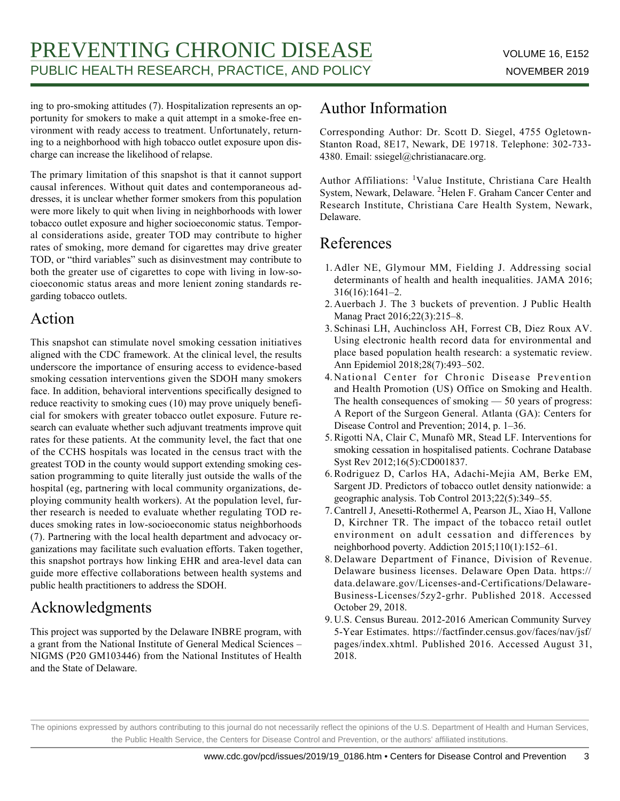ing to pro-smoking attitudes (7). Hospitalization represents an opportunity for smokers to make a quit attempt in a smoke-free environment with ready access to treatment. Unfortunately, returning to a neighborhood with high tobacco outlet exposure upon discharge can increase the likelihood of relapse.

The primary limitation of this snapshot is that it cannot support causal inferences. Without quit dates and contemporaneous addresses, it is unclear whether former smokers from this population were more likely to quit when living in neighborhoods with lower tobacco outlet exposure and higher socioeconomic status. Temporal considerations aside, greater TOD may contribute to higher rates of smoking, more demand for cigarettes may drive greater TOD, or "third variables" such as disinvestment may contribute to both the greater use of cigarettes to cope with living in low-socioeconomic status areas and more lenient zoning standards regarding tobacco outlets.

### Action

This snapshot can stimulate novel smoking cessation initiatives aligned with the CDC framework. At the clinical level, the results underscore the importance of ensuring access to evidence-based smoking cessation interventions given the SDOH many smokers face. In addition, behavioral interventions specifically designed to reduce reactivity to smoking cues (10) may prove uniquely beneficial for smokers with greater tobacco outlet exposure. Future research can evaluate whether such adjuvant treatments improve quit rates for these patients. At the community level, the fact that one of the CCHS hospitals was located in the census tract with the greatest TOD in the county would support extending smoking cessation programming to quite literally just outside the walls of the hospital (eg, partnering with local community organizations, deploying community health workers). At the population level, further research is needed to evaluate whether regulating TOD reduces smoking rates in low-socioeconomic status neighborhoods (7). Partnering with the local health department and advocacy organizations may facilitate such evaluation efforts. Taken together, this snapshot portrays how linking EHR and area-level data can guide more effective collaborations between health systems and public health practitioners to address the SDOH.

# Acknowledgments

This project was supported by the Delaware INBRE program, with a grant from the National Institute of General Medical Sciences – NIGMS (P20 GM103446) from the National Institutes of Health and the State of Delaware.

# Author Information

Corresponding Author: Dr. Scott D. Siegel, 4755 Ogletown-Stanton Road, 8E17, Newark, DE 19718. Telephone: 302-733- 4380. Email: ssiegel@christianacare.org.

Author Affiliations: <sup>1</sup>Value Institute, Christiana Care Health System, Newark, Delaware. <sup>2</sup>Helen F. Graham Cancer Center and Research Institute, Christiana Care Health System, Newark, Delaware.

# References

- 1. Adler NE, Glymour MM, Fielding J. Addressing social determinants of health and health inequalities. JAMA 2016; 316(16):1641–2.
- 2. Auerbach J. The 3 buckets of prevention. J Public Health Manag Pract 2016;22(3):215–8.
- 3. Schinasi LH, Auchincloss AH, Forrest CB, Diez Roux AV. Using electronic health record data for environmental and place based population health research: a systematic review. Ann Epidemiol 2018;28(7):493–502.
- 4. National Center for Chronic Disease Prevention and Health Promotion (US) Office on Smoking and Health. The health consequences of smoking  $-50$  years of progress: A Report of the Surgeon General. Atlanta (GA): Centers for Disease Control and Prevention; 2014, p. 1–36.
- 5. Rigotti NA, Clair C, Munafò MR, Stead LF. Interventions for smoking cessation in hospitalised patients. Cochrane Database Syst Rev 2012;16(5):CD001837.
- 6. Rodriguez D, Carlos HA, Adachi-Mejia AM, Berke EM, Sargent JD. Predictors of tobacco outlet density nationwide: a geographic analysis. Tob Control 2013;22(5):349–55.
- Cantrell J, Anesetti-Rothermel A, Pearson JL, Xiao H, Vallone 7. D, Kirchner TR. The impact of the tobacco retail outlet environment on adult cessation and differences by neighborhood poverty. Addiction 2015;110(1):152–61.
- 8. Delaware Department of Finance, Division of Revenue. Delaware business licenses. Delaware Open Data. https:// data.delaware.gov/Licenses-and-Certifications/Delaware-Business-Licenses/5zy2-grhr. Published 2018. Accessed October 29, 2018.
- 9. U.S. Census Bureau. 2012-2016 American Community Survey 5-Year Estimates. https://factfinder.census.gov/faces/nav/jsf/ pages/index.xhtml. Published 2016. Accessed August 31, 2018.

The opinions expressed by authors contributing to this journal do not necessarily reflect the opinions of the U.S. Department of Health and Human Services, the Public Health Service, the Centers for Disease Control and Prevention, or the authors' affiliated institutions.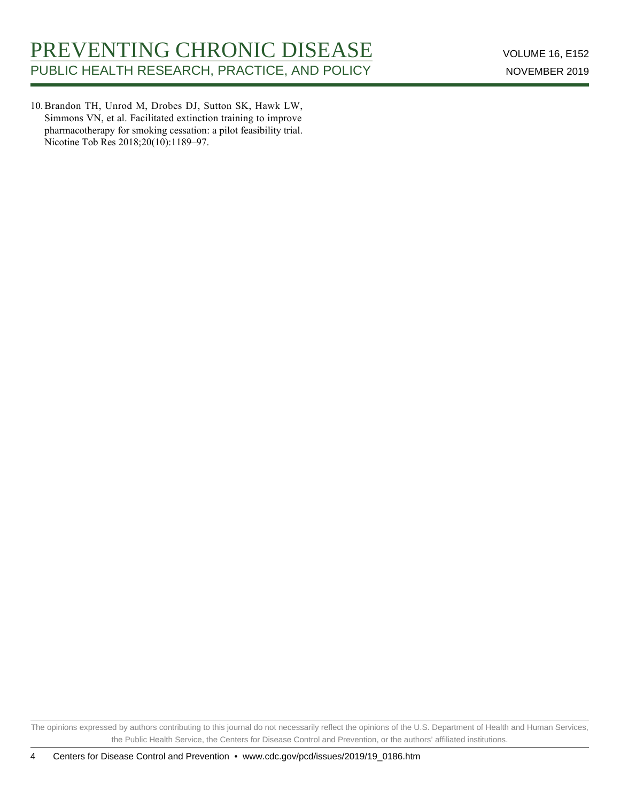10. Brandon TH, Unrod M, Drobes DJ, Sutton SK, Hawk LW, Simmons VN, et al. Facilitated extinction training to improve pharmacotherapy for smoking cessation: a pilot feasibility trial. Nicotine Tob Res 2018;20(10):1189–97.

The opinions expressed by authors contributing to this journal do not necessarily reflect the opinions of the U.S. Department of Health and Human Services, the Public Health Service, the Centers for Disease Control and Prevention, or the authors' affiliated institutions.